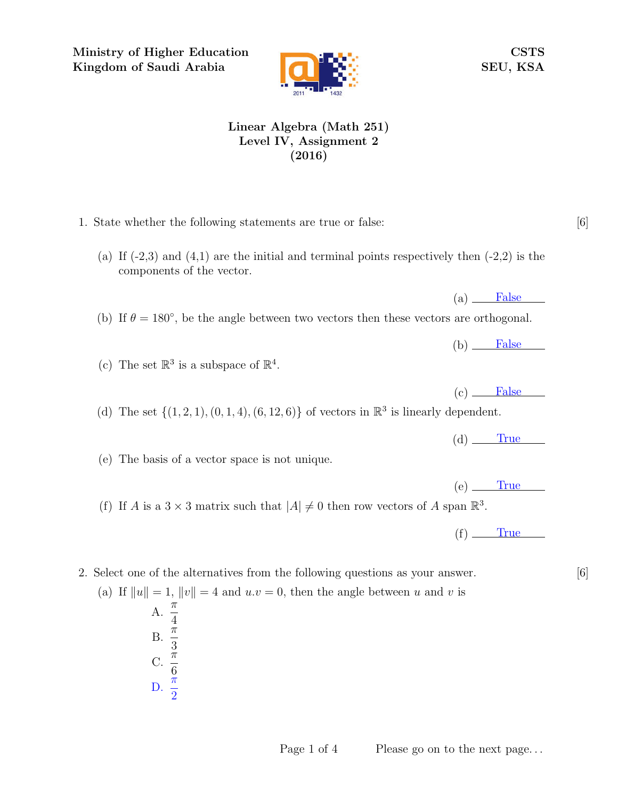Ministry of Higher Education Kingdom of Saudi Arabia



CSTS SEU, KSA

## Linear Algebra (Math 251) Level IV, Assignment 2 (2016)

- 1. State whether the following statements are true or false: [6]
	- (a) If  $(-2,3)$  and  $(4,1)$  are the initial and terminal points respectively then  $(-2,2)$  is the components of the vector.
	- (b) If  $\theta = 180^{\circ}$ , be the angle between two vectors then these vectors are orthogonal.
	- (c) The set  $\mathbb{R}^3$  is a subspace of  $\mathbb{R}^4$ .

(d) The set  $\{(1, 2, 1), (0, 1, 4), (6, 12, 6)\}$  of vectors in  $\mathbb{R}^3$  is linearly dependent.

 $(d)$  True

 $(a)$  False

 $(b)$  False

 $(c)$  False

(e) The basis of a vector space is not unique.

- $(e)$  True
- (f) If A is a  $3 \times 3$  matrix such that  $|A| \neq 0$  then row vectors of A span  $\mathbb{R}^3$ .

 $(f)$  True

## 2. Select one of the alternatives from the following questions as your answer. [6]

(a) If  $||u|| = 1$ ,  $||v|| = 4$  and  $u.v = 0$ , then the angle between u and v is A.  $\frac{\pi}{4}$ 4  $\overline{B}$ .  $\frac{\pi}{2}$ 3 C.  $\frac{\pi}{c}$ 6 D.  $\frac{\pi}{2}$ 2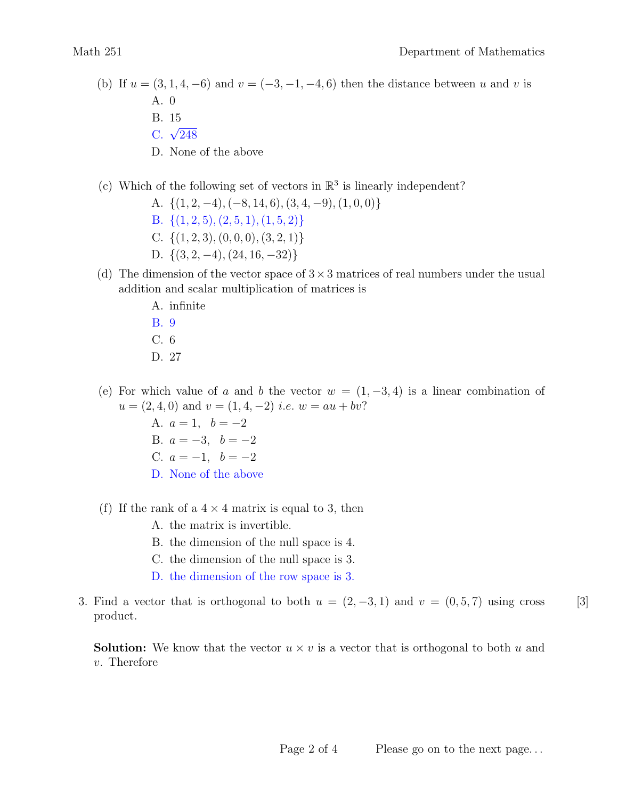- (b) If  $u = (3, 1, 4, -6)$  and  $v = (-3, -1, -4, 6)$  then the distance between u and v is A. 0
	- B. 15
	- $C. \sqrt{248}$
	- D. None of the above
- (c) Which of the following set of vectors in  $\mathbb{R}^3$  is linearly independent?
	- A.  $\{(1, 2, -4), (-8, 14, 6), (3, 4, -9), (1, 0, 0)\}$
	- B.  $\{(1, 2, 5), (2, 5, 1), (1, 5, 2)\}\$
	- C.  $\{(1, 2, 3), (0, 0, 0), (3, 2, 1)\}\$
	- D.  $\{(3, 2, -4), (24, 16, -32)\}\$
- (d) The dimension of the vector space of  $3\times 3$  matrices of real numbers under the usual addition and scalar multiplication of matrices is
	- A. infinite
	- B. 9 C. 6
	- D. 27
- (e) For which value of a and b the vector  $w = (1, -3, 4)$  is a linear combination of  $u = (2, 4, 0)$  and  $v = (1, 4, -2)$  *i.e.*  $w = au + bv$ ?
	- A.  $a = 1, b = -2$ B.  $a = -3, b = -2$ C.  $a = -1, b = -2$ D. None of the above
- (f) If the rank of a  $4 \times 4$  matrix is equal to 3, then
	- A. the matrix is invertible.
	- B. the dimension of the null space is 4.
	- C. the dimension of the null space is 3.
	- D. the dimension of the row space is 3.
- 3. Find a vector that is orthogonal to both  $u = (2, -3, 1)$  and  $v = (0, 5, 7)$  using cross [3] product.

**Solution:** We know that the vector  $u \times v$  is a vector that is orthogonal to both u and v. Therefore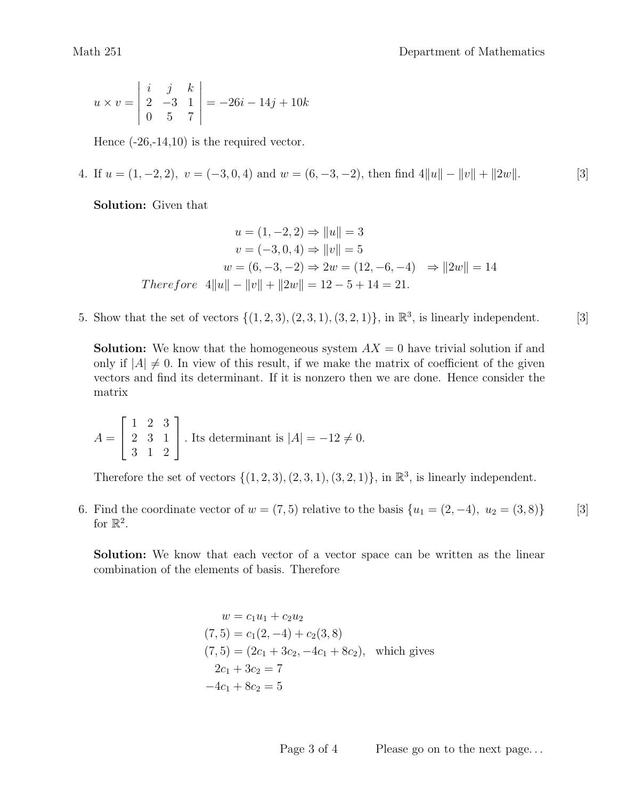$$
u \times v = \begin{vmatrix} i & j & k \\ 2 & -3 & 1 \\ 0 & 5 & 7 \end{vmatrix} = -26i - 14j + 10k
$$

Hence  $(-26,-14,10)$  is the required vector.

4. If  $u = (1, -2, 2), v = (-3, 0, 4)$  and  $w = (6, -3, -2)$ , then find  $4||u|| - ||v|| + ||2w||$ . [3]

Solution: Given that

$$
u = (1, -2, 2) \Rightarrow ||u|| = 3
$$
  
\n
$$
v = (-3, 0, 4) \Rightarrow ||v|| = 5
$$
  
\n
$$
w = (6, -3, -2) \Rightarrow 2w = (12, -6, -4) \Rightarrow ||2w|| = 14
$$
  
\nTherefore  $4||u|| - ||v|| + ||2w|| = 12 - 5 + 14 = 21$ .

5. Show that the set of vectors  $\{(1, 2, 3), (2, 3, 1), (3, 2, 1)\}$ , in  $\mathbb{R}^3$ , is linearly independent. [3]

**Solution:** We know that the homogeneous system  $AX = 0$  have trivial solution if and only if  $|A| \neq 0$ . In view of this result, if we make the matrix of coefficient of the given vectors and find its determinant. If it is nonzero then we are done. Hence consider the matrix

$$
A = \begin{bmatrix} 1 & 2 & 3 \\ 2 & 3 & 1 \\ 3 & 1 & 2 \end{bmatrix}
$$
. Its determinant is  $|A| = -12 \neq 0$ .

Therefore the set of vectors  $\{(1,2,3), (2,3,1), (3,2,1)\}$ , in  $\mathbb{R}^3$ , is linearly independent.

6. Find the coordinate vector of  $w = (7, 5)$  relative to the basis  $\{u_1 = (2, -4), u_2 = (3, 8)\}$  [3] for  $\mathbb{R}^2$ .

Solution: We know that each vector of a vector space can be written as the linear combination of the elements of basis. Therefore

$$
w = c_1 u_1 + c_2 u_2
$$
  
(7, 5) = c<sub>1</sub>(2, -4) + c<sub>2</sub>(3, 8)  
(7, 5) = (2c<sub>1</sub> + 3c<sub>2</sub>, -4c<sub>1</sub> + 8c<sub>2</sub>), which gives  
2c<sub>1</sub> + 3c<sub>2</sub> = 7  
-4c<sub>1</sub> + 8c<sub>2</sub> = 5